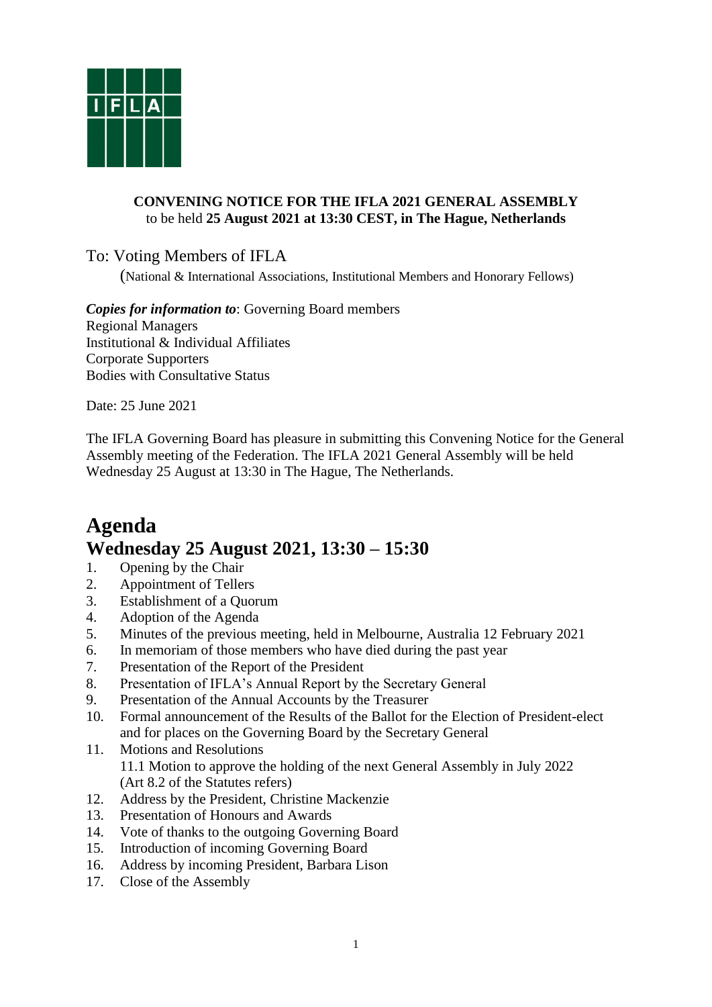

## **CONVENING NOTICE FOR THE IFLA 2021 GENERAL ASSEMBLY**  to be held **25 August 2021 at 13:30 CEST, in The Hague, Netherlands**

To: Voting Members of IFLA

(National & International Associations, Institutional Members and Honorary Fellows)

*Copies for information to*: Governing Board members Regional Managers Institutional & Individual Affiliates Corporate Supporters Bodies with Consultative Status

Date: 25 June 2021

The IFLA Governing Board has pleasure in submitting this Convening Notice for the General Assembly meeting of the Federation. The IFLA 2021 General Assembly will be held Wednesday 25 August at 13:30 in The Hague, The Netherlands.

# **Agenda Wednesday 25 August 2021, 13:30 – 15:30**

- 1. Opening by the Chair
- 2. Appointment of Tellers
- 3. Establishment of a Quorum
- 4. Adoption of the Agenda
- 5. Minutes of the previous meeting, held in Melbourne, Australia 12 February 2021
- 6. In memoriam of those members who have died during the past year
- 7. Presentation of the Report of the President
- 8. Presentation of IFLA's Annual Report by the Secretary General
- 9. Presentation of the Annual Accounts by the Treasurer
- 10. Formal announcement of the Results of the Ballot for the Election of President-elect and for places on the Governing Board by the Secretary General
- 11. Motions and Resolutions 11.1 Motion to approve the holding of the next General Assembly in July 2022 (Art 8.2 of the Statutes refers)
- 12. Address by the President, Christine Mackenzie
- 13. Presentation of Honours and Awards
- 14. Vote of thanks to the outgoing Governing Board
- 15. Introduction of incoming Governing Board
- 16. Address by incoming President, Barbara Lison
- 17. Close of the Assembly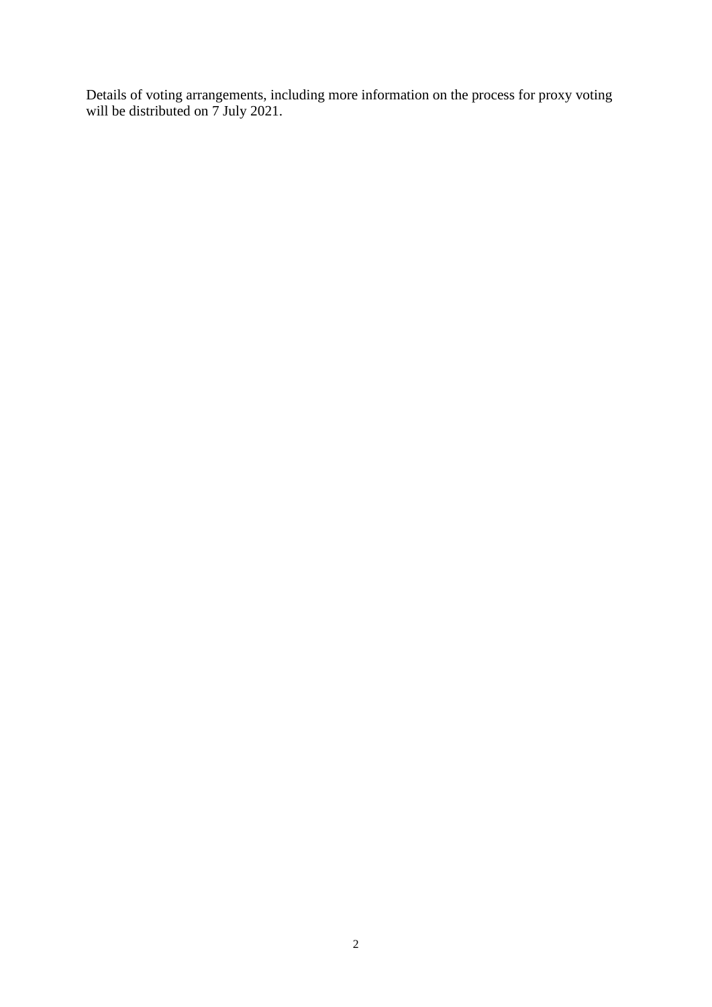Details of voting arrangements, including more information on the process for proxy voting will be distributed on 7 July 2021.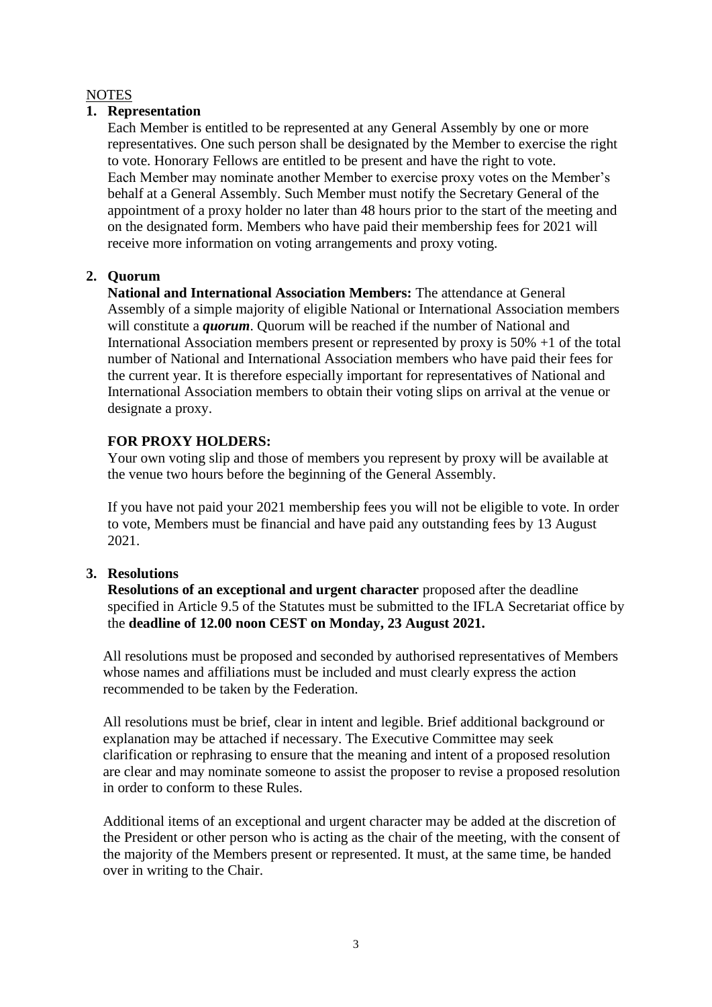# **NOTES**

## **1. Representation**

Each Member is entitled to be represented at any General Assembly by one or more representatives. One such person shall be designated by the Member to exercise the right to vote. Honorary Fellows are entitled to be present and have the right to vote. Each Member may nominate another Member to exercise proxy votes on the Member's behalf at a General Assembly. Such Member must notify the Secretary General of the appointment of a proxy holder no later than 48 hours prior to the start of the meeting and on the designated form. Members who have paid their membership fees for 2021 will receive more information on voting arrangements and proxy voting.

# **2. Quorum**

**National and International Association Members:** The attendance at General Assembly of a simple majority of eligible National or International Association members will constitute a *quorum*. Quorum will be reached if the number of National and International Association members present or represented by proxy is 50% +1 of the total number of National and International Association members who have paid their fees for the current year. It is therefore especially important for representatives of National and International Association members to obtain their voting slips on arrival at the venue or designate a proxy.

# **FOR PROXY HOLDERS:**

Your own voting slip and those of members you represent by proxy will be available at the venue two hours before the beginning of the General Assembly.

If you have not paid your 2021 membership fees you will not be eligible to vote. In order to vote, Members must be financial and have paid any outstanding fees by 13 August 2021.

# **3. Resolutions**

**Resolutions of an exceptional and urgent character** proposed after the deadline specified in Article 9.5 of the Statutes must be submitted to the IFLA Secretariat office by the **deadline of 12.00 noon CEST on Monday, 23 August 2021.**

All resolutions must be proposed and seconded by authorised representatives of Members whose names and affiliations must be included and must clearly express the action recommended to be taken by the Federation.

All resolutions must be brief, clear in intent and legible. Brief additional background or explanation may be attached if necessary. The Executive Committee may seek clarification or rephrasing to ensure that the meaning and intent of a proposed resolution are clear and may nominate someone to assist the proposer to revise a proposed resolution in order to conform to these Rules.

Additional items of an exceptional and urgent character may be added at the discretion of the President or other person who is acting as the chair of the meeting, with the consent of the majority of the Members present or represented. It must, at the same time, be handed over in writing to the Chair.